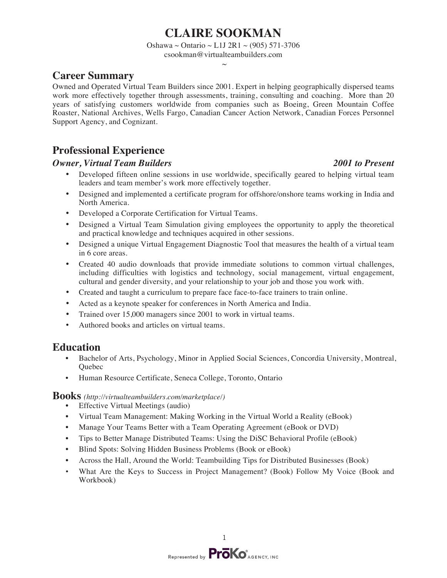# **CLAIRE SOOKMAN**

Oshawa ~ Ontario ~ L1J 2R1 ~ (905) 571-3706

csookman@virtualteambuilders.com

#### $\sim$

# **Career Summary**

Owned and Operated Virtual Team Builders since 2001. Expert in helping geographically dispersed teams work more effectively together through assessments, training, consulting and coaching. More than 20 years of satisfying customers worldwide from companies such as Boeing, Green Mountain Coffee Roaster, National Archives, Wells Fargo, Canadian Cancer Action Network, Canadian Forces Personnel Support Agency, and Cognizant.

# **Professional Experience**

### *Owner, Virtual Team Builders 2001 to Present*

- Developed fifteen online sessions in use worldwide, specifically geared to helping virtual team leaders and team member's work more effectively together.
- Designed and implemented a certificate program for offshore/onshore teams working in India and North America.
- Developed a Corporate Certification for Virtual Teams.
- Designed a Virtual Team Simulation giving employees the opportunity to apply the theoretical and practical knowledge and techniques acquired in other sessions.
- Designed a unique Virtual Engagement Diagnostic Tool that measures the health of a virtual team in 6 core areas.
- Created 40 audio downloads that provide immediate solutions to common virtual challenges, including difficulties with logistics and technology, social management, virtual engagement, cultural and gender diversity, and your relationship to your job and those you work with.
- Created and taught a curriculum to prepare face face-to-face trainers to train online.
- Acted as a keynote speaker for conferences in North America and India.
- Trained over 15,000 managers since 2001 to work in virtual teams.
- Authored books and articles on virtual teams.

# **Education**

- Bachelor of Arts, Psychology, Minor in Applied Social Sciences, Concordia University, Montreal, **Ouebec**
- Human Resource Certificate, Seneca College, Toronto, Ontario

#### **Books** *(http://virtualteambuilders.com/marketplace/)*

- Effective Virtual Meetings (audio)
- Virtual Team Management: Making Working in the Virtual World a Reality (eBook)
- Manage Your Teams Better with a Team Operating Agreement (eBook or DVD)
- Tips to Better Manage Distributed Teams: Using the DiSC Behavioral Profile (eBook)
- Blind Spots: Solving Hidden Business Problems (Book or eBook)
- Across the Hall, Around the World: Teambuilding Tips for Distributed Businesses (Book)
- What Are the Keys to Success in Project Management? (Book) Follow My Voice (Book and Workbook)